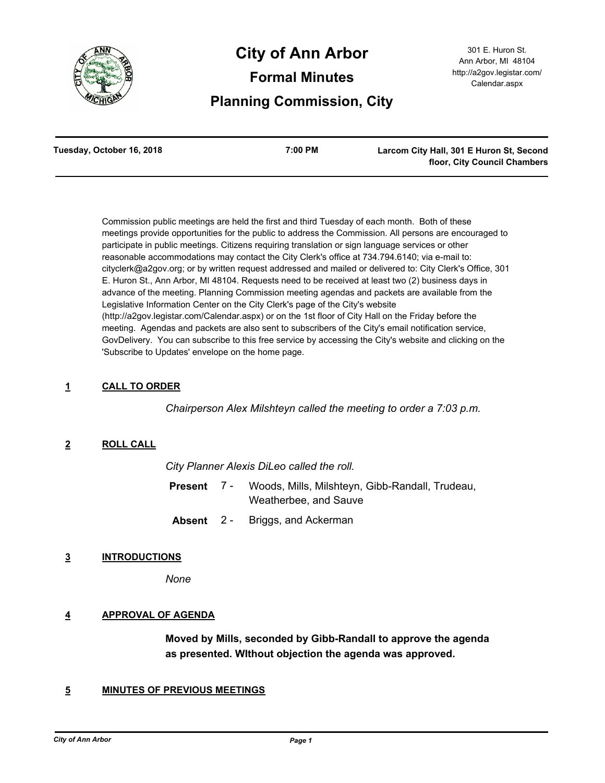

# **City of Ann Arbor Formal Minutes Planning Commission, City**

| Tuesday, October 16, 2018 | 7:00 PM | Larcom City Hall, 301 E Huron St, Second |
|---------------------------|---------|------------------------------------------|
|                           |         | floor, City Council Chambers             |

Commission public meetings are held the first and third Tuesday of each month. Both of these meetings provide opportunities for the public to address the Commission. All persons are encouraged to participate in public meetings. Citizens requiring translation or sign language services or other reasonable accommodations may contact the City Clerk's office at 734.794.6140; via e-mail to: cityclerk@a2gov.org; or by written request addressed and mailed or delivered to: City Clerk's Office, 301 E. Huron St., Ann Arbor, MI 48104. Requests need to be received at least two (2) business days in advance of the meeting. Planning Commission meeting agendas and packets are available from the Legislative Information Center on the City Clerk's page of the City's website (http://a2gov.legistar.com/Calendar.aspx) or on the 1st floor of City Hall on the Friday before the meeting. Agendas and packets are also sent to subscribers of the City's email notification service, GovDelivery. You can subscribe to this free service by accessing the City's website and clicking on the 'Subscribe to Updates' envelope on the home page.

# **1 CALL TO ORDER**

*Chairperson Alex Milshteyn called the meeting to order a 7:03 p.m.*

# **2 ROLL CALL**

*City Planner Alexis DiLeo called the roll.*

- Woods, Mills, Milshteyn, Gibb-Randall, Trudeau, Weatherbee, and Sauve **Present** 7 -
- **Absent** 2 Briggs, and Ackerman

# **3 INTRODUCTIONS**

*None*

# **4 APPROVAL OF AGENDA**

**Moved by Mills, seconded by Gibb-Randall to approve the agenda as presented. WIthout objection the agenda was approved.**

# **5 MINUTES OF PREVIOUS MEETINGS**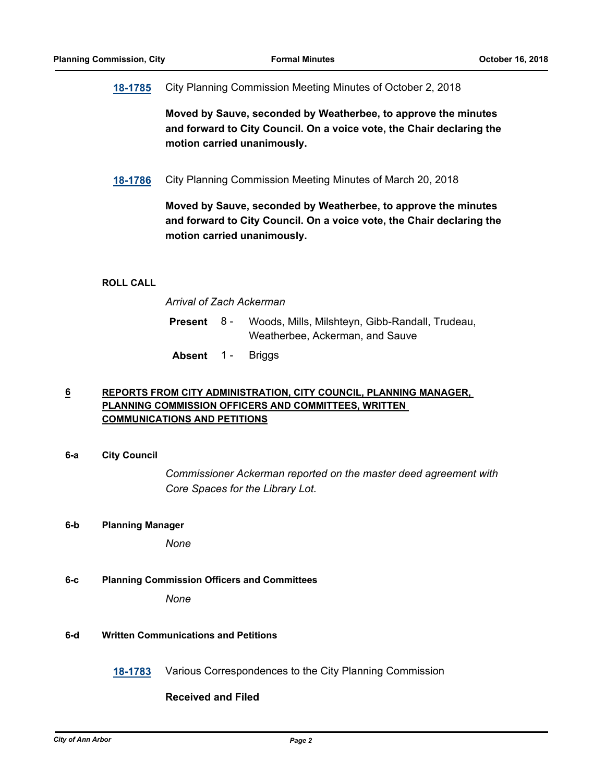# **[18-1785](http://a2gov.legistar.com/gateway.aspx?M=L&ID=21337)** City Planning Commission Meeting Minutes of October 2, 2018

**Moved by Sauve, seconded by Weatherbee, to approve the minutes and forward to City Council. On a voice vote, the Chair declaring the motion carried unanimously.**

**[18-1786](http://a2gov.legistar.com/gateway.aspx?M=L&ID=21338)** City Planning Commission Meeting Minutes of March 20, 2018

**Moved by Sauve, seconded by Weatherbee, to approve the minutes and forward to City Council. On a voice vote, the Chair declaring the motion carried unanimously.**

## **ROLL CALL**

*Arrival of Zach Ackerman*

| <b>Present</b> 8 - | Woods, Mills, Milshteyn, Gibb-Randall, Trudeau, |
|--------------------|-------------------------------------------------|
|                    | Weatherbee, Ackerman, and Sauve                 |

**Absent** 1 - Briggs

# **6 REPORTS FROM CITY ADMINISTRATION, CITY COUNCIL, PLANNING MANAGER, PLANNING COMMISSION OFFICERS AND COMMITTEES, WRITTEN COMMUNICATIONS AND PETITIONS**

**6-a City Council**

*Commissioner Ackerman reported on the master deed agreement with Core Spaces for the Library Lot.*

## **6-b Planning Manager**

*None*

## **6-c Planning Commission Officers and Committees**

*None*

## **6-d Written Communications and Petitions**

**[18-1783](http://a2gov.legistar.com/gateway.aspx?M=L&ID=21335)** Various Correspondences to the City Planning Commission

# **Received and Filed**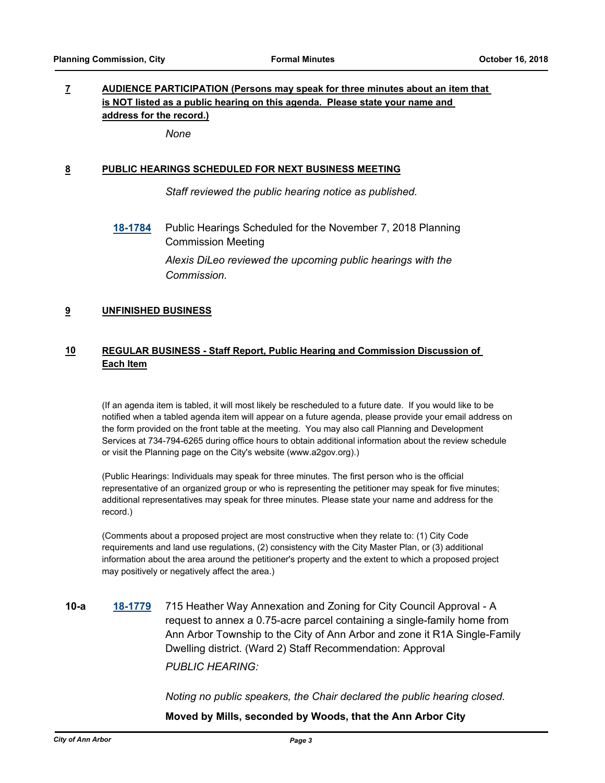# **7 AUDIENCE PARTICIPATION (Persons may speak for three minutes about an item that is NOT listed as a public hearing on this agenda. Please state your name and address for the record.)**

*None*

# **8 PUBLIC HEARINGS SCHEDULED FOR NEXT BUSINESS MEETING**

*Staff reviewed the public hearing notice as published.*

**[18-1784](http://a2gov.legistar.com/gateway.aspx?M=L&ID=21336)** Public Hearings Scheduled for the November 7, 2018 Planning Commission Meeting

> *Alexis DiLeo reviewed the upcoming public hearings with the Commission.*

# **9 UNFINISHED BUSINESS**

# **10 REGULAR BUSINESS - Staff Report, Public Hearing and Commission Discussion of Each Item**

(If an agenda item is tabled, it will most likely be rescheduled to a future date. If you would like to be notified when a tabled agenda item will appear on a future agenda, please provide your email address on the form provided on the front table at the meeting. You may also call Planning and Development Services at 734-794-6265 during office hours to obtain additional information about the review schedule or visit the Planning page on the City's website (www.a2gov.org).)

(Public Hearings: Individuals may speak for three minutes. The first person who is the official representative of an organized group or who is representing the petitioner may speak for five minutes; additional representatives may speak for three minutes. Please state your name and address for the record.)

(Comments about a proposed project are most constructive when they relate to: (1) City Code requirements and land use regulations, (2) consistency with the City Master Plan, or (3) additional information about the area around the petitioner's property and the extent to which a proposed project may positively or negatively affect the area.)

**10-a [18-1779](http://a2gov.legistar.com/gateway.aspx?M=L&ID=21331)** 715 Heather Way Annexation and Zoning for City Council Approval - A request to annex a 0.75-acre parcel containing a single-family home from Ann Arbor Township to the City of Ann Arbor and zone it R1A Single-Family Dwelling district. (Ward 2) Staff Recommendation: Approval *PUBLIC HEARING:*

*Noting no public speakers, the Chair declared the public hearing closed.*

## **Moved by Mills, seconded by Woods, that the Ann Arbor City**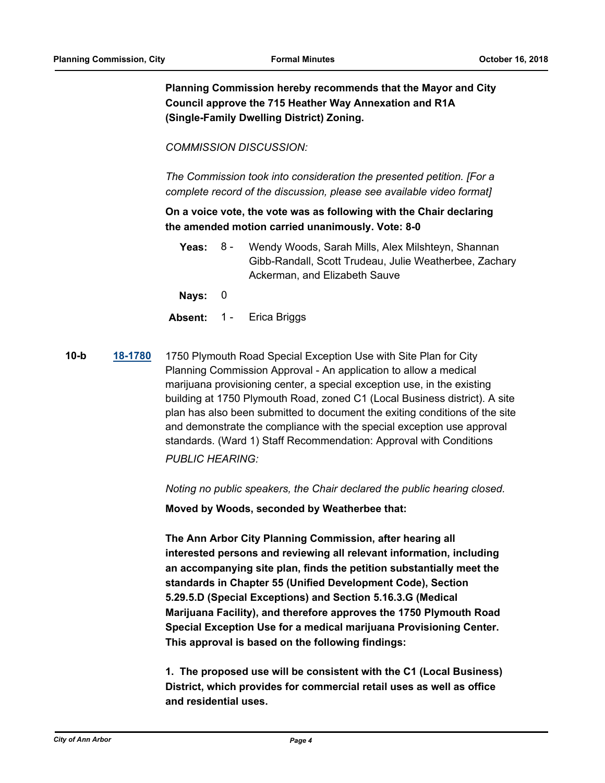**Planning Commission hereby recommends that the Mayor and City Council approve the 715 Heather Way Annexation and R1A (Single-Family Dwelling District) Zoning.**

*COMMISSION DISCUSSION:*

*The Commission took into consideration the presented petition. [For a complete record of the discussion, please see available video format]*

**On a voice vote, the vote was as following with the Chair declaring the amended motion carried unanimously. Vote: 8-0**

Yeas: 8 - Wendy Woods, Sarah Mills, Alex Milshteyn, Shannan Gibb-Randall, Scott Trudeau, Julie Weatherbee, Zachary Ackerman, and Elizabeth Sauve 8 -

**Nays:** 0

- **Absent:** 1 Erica Briggs
- **10-b [18-1780](http://a2gov.legistar.com/gateway.aspx?M=L&ID=21332)** 1750 Plymouth Road Special Exception Use with Site Plan for City Planning Commission Approval - An application to allow a medical marijuana provisioning center, a special exception use, in the existing building at 1750 Plymouth Road, zoned C1 (Local Business district). A site plan has also been submitted to document the exiting conditions of the site and demonstrate the compliance with the special exception use approval standards. (Ward 1) Staff Recommendation: Approval with Conditions

*PUBLIC HEARING:*

*Noting no public speakers, the Chair declared the public hearing closed.*

**Moved by Woods, seconded by Weatherbee that:** 

**The Ann Arbor City Planning Commission, after hearing all interested persons and reviewing all relevant information, including an accompanying site plan, finds the petition substantially meet the standards in Chapter 55 (Unified Development Code), Section 5.29.5.D (Special Exceptions) and Section 5.16.3.G (Medical Marijuana Facility), and therefore approves the 1750 Plymouth Road Special Exception Use for a medical marijuana Provisioning Center. This approval is based on the following findings:** 

**1. The proposed use will be consistent with the C1 (Local Business) District, which provides for commercial retail uses as well as office and residential uses.**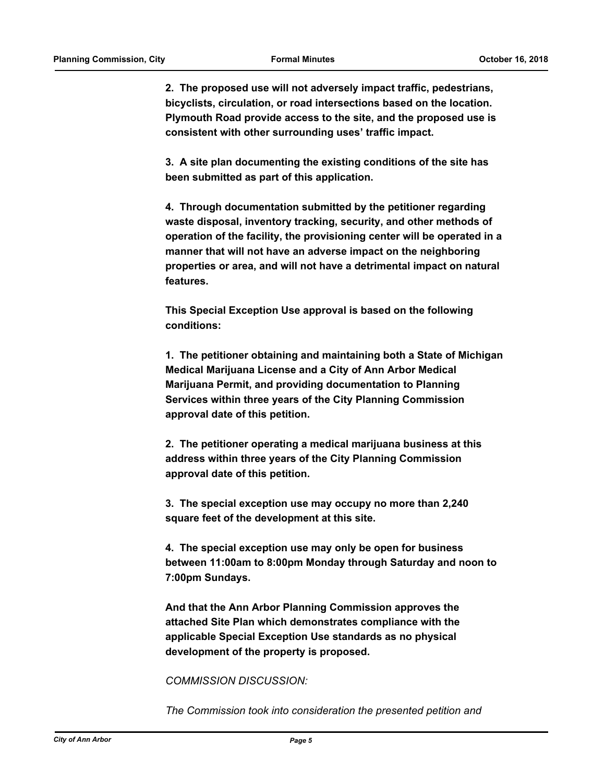**2. The proposed use will not adversely impact traffic, pedestrians, bicyclists, circulation, or road intersections based on the location. Plymouth Road provide access to the site, and the proposed use is consistent with other surrounding uses' traffic impact.** 

**3. A site plan documenting the existing conditions of the site has been submitted as part of this application.** 

**4. Through documentation submitted by the petitioner regarding waste disposal, inventory tracking, security, and other methods of operation of the facility, the provisioning center will be operated in a manner that will not have an adverse impact on the neighboring properties or area, and will not have a detrimental impact on natural features.**

**This Special Exception Use approval is based on the following conditions:**

**1. The petitioner obtaining and maintaining both a State of Michigan Medical Marijuana License and a City of Ann Arbor Medical Marijuana Permit, and providing documentation to Planning Services within three years of the City Planning Commission approval date of this petition.**

**2. The petitioner operating a medical marijuana business at this address within three years of the City Planning Commission approval date of this petition.**

**3. The special exception use may occupy no more than 2,240 square feet of the development at this site.** 

**4. The special exception use may only be open for business between 11:00am to 8:00pm Monday through Saturday and noon to 7:00pm Sundays.**

**And that the Ann Arbor Planning Commission approves the attached Site Plan which demonstrates compliance with the applicable Special Exception Use standards as no physical development of the property is proposed.**

*COMMISSION DISCUSSION:*

*The Commission took into consideration the presented petition and*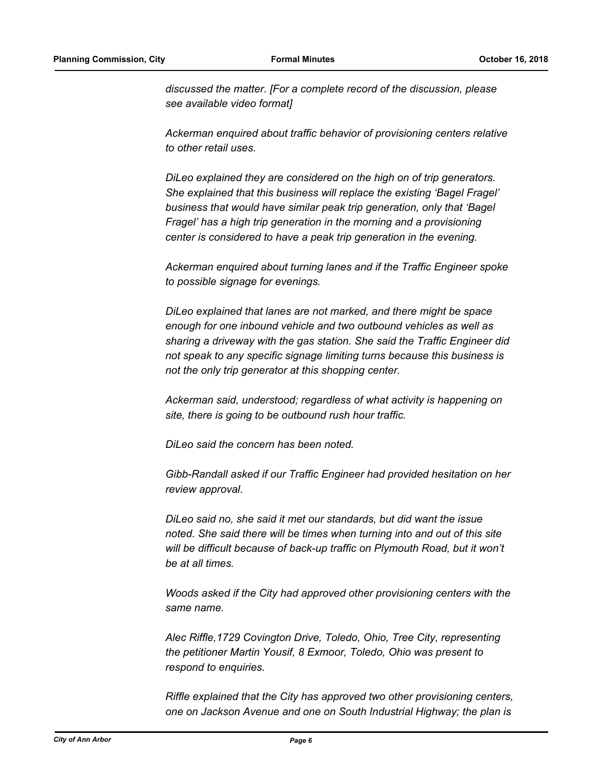*discussed the matter. [For a complete record of the discussion, please see available video format]* 

*Ackerman enquired about traffic behavior of provisioning centers relative to other retail uses.* 

*DiLeo explained they are considered on the high on of trip generators. She explained that this business will replace the existing 'Bagel Fragel' business that would have similar peak trip generation, only that 'Bagel Fragel' has a high trip generation in the morning and a provisioning center is considered to have a peak trip generation in the evening.*

*Ackerman enquired about turning lanes and if the Traffic Engineer spoke to possible signage for evenings.*

*DiLeo explained that lanes are not marked, and there might be space enough for one inbound vehicle and two outbound vehicles as well as sharing a driveway with the gas station. She said the Traffic Engineer did not speak to any specific signage limiting turns because this business is not the only trip generator at this shopping center.*

*Ackerman said, understood; regardless of what activity is happening on site, there is going to be outbound rush hour traffic.*

*DiLeo said the concern has been noted.*

*Gibb-Randall asked if our Traffic Engineer had provided hesitation on her review approval.*

*DiLeo said no, she said it met our standards, but did want the issue noted. She said there will be times when turning into and out of this site*  will be difficult because of back-up traffic on Plymouth Road, but it won't *be at all times.*

*Woods asked if the City had approved other provisioning centers with the same name.*

*Alec Riffle,1729 Covington Drive, Toledo, Ohio, Tree City, representing the petitioner Martin Yousif, 8 Exmoor, Toledo, Ohio was present to respond to enquiries.* 

*Riffle explained that the City has approved two other provisioning centers, one on Jackson Avenue and one on South Industrial Highway; the plan is*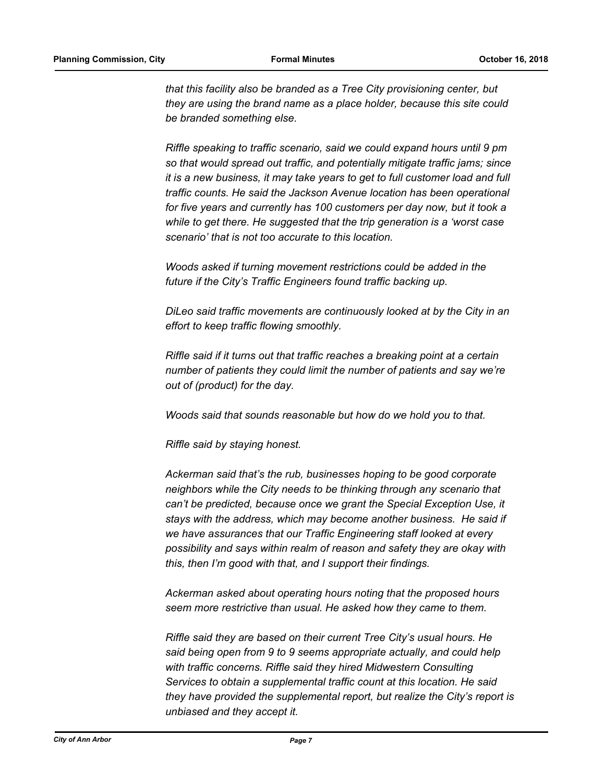*that this facility also be branded as a Tree City provisioning center, but they are using the brand name as a place holder, because this site could be branded something else.* 

*Riffle speaking to traffic scenario, said we could expand hours until 9 pm so that would spread out traffic, and potentially mitigate traffic jams; since it is a new business, it may take years to get to full customer load and full traffic counts. He said the Jackson Avenue location has been operational for five years and currently has 100 customers per day now, but it took a while to get there. He suggested that the trip generation is a 'worst case scenario' that is not too accurate to this location.* 

*Woods asked if turning movement restrictions could be added in the future if the City's Traffic Engineers found traffic backing up.*

*DiLeo said traffic movements are continuously looked at by the City in an effort to keep traffic flowing smoothly.*

*Riffle said if it turns out that traffic reaches a breaking point at a certain number of patients they could limit the number of patients and say we're out of (product) for the day.* 

*Woods said that sounds reasonable but how do we hold you to that.*

*Riffle said by staying honest.* 

*Ackerman said that's the rub, businesses hoping to be good corporate neighbors while the City needs to be thinking through any scenario that can't be predicted, because once we grant the Special Exception Use, it stays with the address, which may become another business. He said if we have assurances that our Traffic Engineering staff looked at every possibility and says within realm of reason and safety they are okay with this, then I'm good with that, and I support their findings.* 

*Ackerman asked about operating hours noting that the proposed hours seem more restrictive than usual. He asked how they came to them.*

*Riffle said they are based on their current Tree City's usual hours. He said being open from 9 to 9 seems appropriate actually, and could help with traffic concerns. Riffle said they hired Midwestern Consulting Services to obtain a supplemental traffic count at this location. He said they have provided the supplemental report, but realize the City's report is unbiased and they accept it.*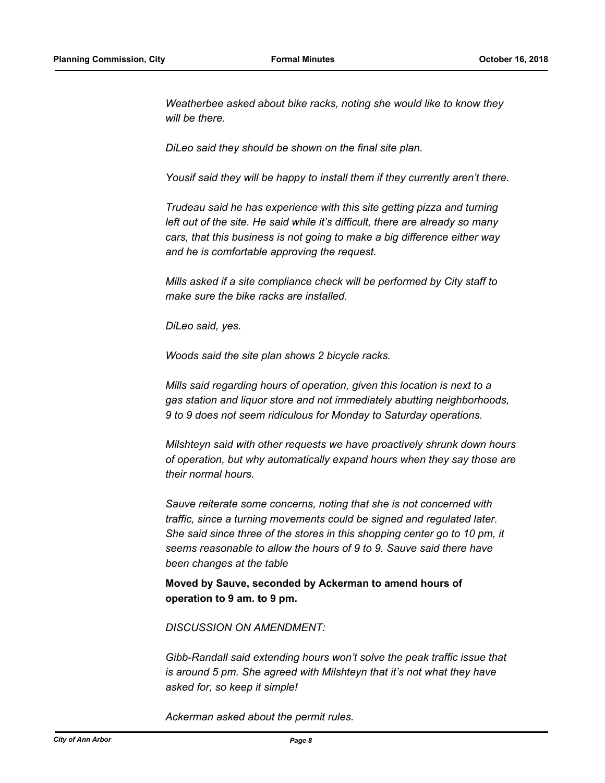*Weatherbee asked about bike racks, noting she would like to know they will be there.*

*DiLeo said they should be shown on the final site plan.*

*Yousif said they will be happy to install them if they currently aren't there.*

*Trudeau said he has experience with this site getting pizza and turning left out of the site. He said while it's difficult, there are already so many cars, that this business is not going to make a big difference either way and he is comfortable approving the request.* 

*Mills asked if a site compliance check will be performed by City staff to make sure the bike racks are installed.*

*DiLeo said, yes.*

*Woods said the site plan shows 2 bicycle racks.*

*Mills said regarding hours of operation, given this location is next to a gas station and liquor store and not immediately abutting neighborhoods, 9 to 9 does not seem ridiculous for Monday to Saturday operations.*

*Milshteyn said with other requests we have proactively shrunk down hours of operation, but why automatically expand hours when they say those are their normal hours.* 

*Sauve reiterate some concerns, noting that she is not concerned with traffic, since a turning movements could be signed and regulated later. She said since three of the stores in this shopping center go to 10 pm, it seems reasonable to allow the hours of 9 to 9. Sauve said there have been changes at the table*

**Moved by Sauve, seconded by Ackerman to amend hours of operation to 9 am. to 9 pm.**

*DISCUSSION ON AMENDMENT:*

*Gibb-Randall said extending hours won't solve the peak traffic issue that is around 5 pm. She agreed with Milshteyn that it's not what they have asked for, so keep it simple!*

*Ackerman asked about the permit rules.*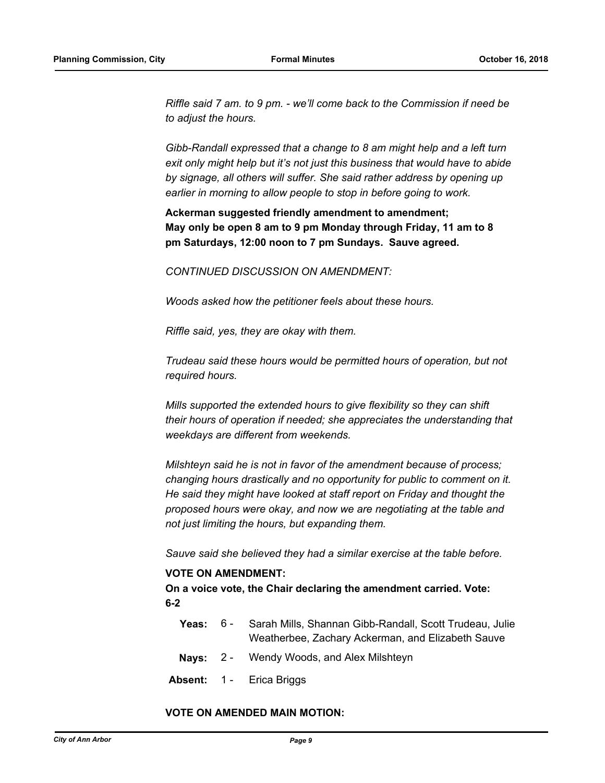*Riffle said 7 am. to 9 pm. - we'll come back to the Commission if need be to adjust the hours.* 

*Gibb-Randall expressed that a change to 8 am might help and a left turn exit only might help but it's not just this business that would have to abide by signage, all others will suffer. She said rather address by opening up earlier in morning to allow people to stop in before going to work.*

**Ackerman suggested friendly amendment to amendment; May only be open 8 am to 9 pm Monday through Friday, 11 am to 8 pm Saturdays, 12:00 noon to 7 pm Sundays. Sauve agreed.**

*CONTINUED DISCUSSION ON AMENDMENT:*

*Woods asked how the petitioner feels about these hours.*

*Riffle said, yes, they are okay with them.* 

*Trudeau said these hours would be permitted hours of operation, but not required hours.* 

*Mills supported the extended hours to give flexibility so they can shift their hours of operation if needed; she appreciates the understanding that weekdays are different from weekends.* 

*Milshteyn said he is not in favor of the amendment because of process; changing hours drastically and no opportunity for public to comment on it. He said they might have looked at staff report on Friday and thought the proposed hours were okay, and now we are negotiating at the table and not just limiting the hours, but expanding them.* 

*Sauve said she believed they had a similar exercise at the table before.*

#### **VOTE ON AMENDMENT:**

**On a voice vote, the Chair declaring the amendment carried. Vote: 6-2**

- **Yeas:** Sarah Mills, Shannan Gibb-Randall, Scott Trudeau, Julie Weatherbee, Zachary Ackerman, and Elizabeth Sauve  $Yeas: 6 -$
- **Nays:** 2 Wendy Woods, and Alex Milshteyn
- **Absent:** 1 Erica Briggs

#### **VOTE ON AMENDED MAIN MOTION:**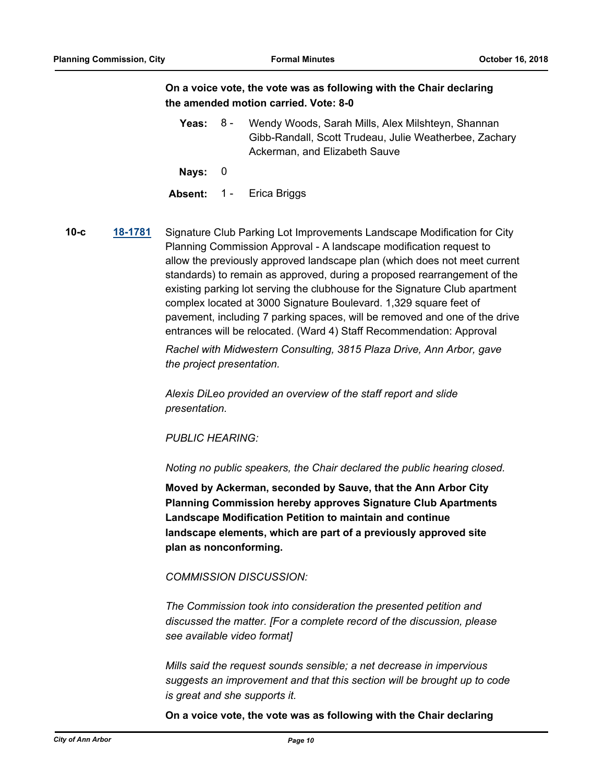# **On a voice vote, the vote was as following with the Chair declaring the amended motion carried. Vote: 8-0**

Yeas: 8 - Wendy Woods, Sarah Mills, Alex Milshteyn, Shannan Gibb-Randall, Scott Trudeau, Julie Weatherbee, Zachary Ackerman, and Elizabeth Sauve 8 -

**Nays:** 0

**Absent:** 1 - Erica Briggs

**10-c [18-1781](http://a2gov.legistar.com/gateway.aspx?M=L&ID=21333)** Signature Club Parking Lot Improvements Landscape Modification for City Planning Commission Approval - A landscape modification request to allow the previously approved landscape plan (which does not meet current standards) to remain as approved, during a proposed rearrangement of the existing parking lot serving the clubhouse for the Signature Club apartment complex located at 3000 Signature Boulevard. 1,329 square feet of pavement, including 7 parking spaces, will be removed and one of the drive entrances will be relocated. (Ward 4) Staff Recommendation: Approval

> *Rachel with Midwestern Consulting, 3815 Plaza Drive, Ann Arbor, gave the project presentation.*

*Alexis DiLeo provided an overview of the staff report and slide presentation.*

*PUBLIC HEARING:*

*Noting no public speakers, the Chair declared the public hearing closed.*

**Moved by Ackerman, seconded by Sauve, that the Ann Arbor City Planning Commission hereby approves Signature Club Apartments Landscape Modification Petition to maintain and continue landscape elements, which are part of a previously approved site plan as nonconforming.**

#### *COMMISSION DISCUSSION:*

*The Commission took into consideration the presented petition and discussed the matter. [For a complete record of the discussion, please see available video format]* 

*Mills said the request sounds sensible; a net decrease in impervious suggests an improvement and that this section will be brought up to code is great and she supports it.*

**On a voice vote, the vote was as following with the Chair declaring**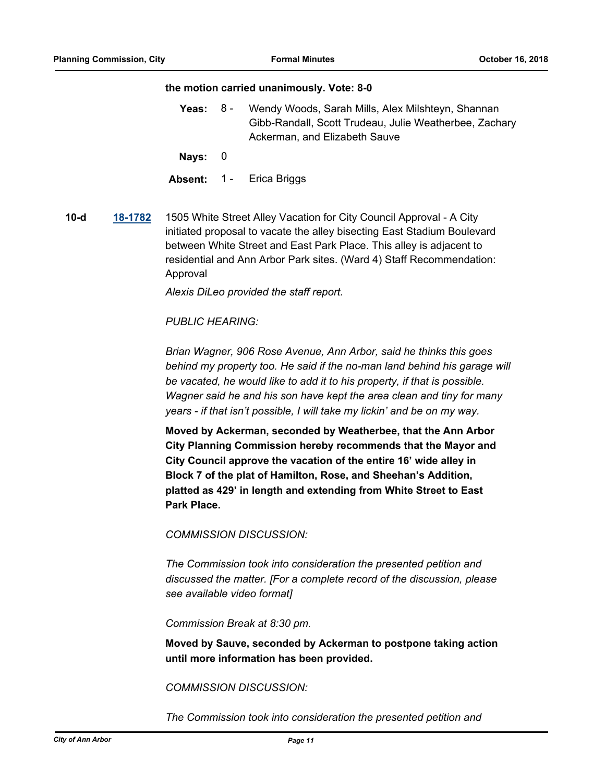#### **the motion carried unanimously. Vote: 8-0**

- Yeas: 8 Wendy Woods, Sarah Mills, Alex Milshteyn, Shannan Gibb-Randall, Scott Trudeau, Julie Weatherbee, Zachary Ackerman, and Elizabeth Sauve 8 -
- **Nays:** 0
- **Absent:** 1 Erica Briggs
- **10-d [18-1782](http://a2gov.legistar.com/gateway.aspx?M=L&ID=21334)** 1505 White Street Alley Vacation for City Council Approval A City initiated proposal to vacate the alley bisecting East Stadium Boulevard between White Street and East Park Place. This alley is adjacent to residential and Ann Arbor Park sites. (Ward 4) Staff Recommendation: Approval

*Alexis DiLeo provided the staff report.*

## *PUBLIC HEARING:*

*Brian Wagner, 906 Rose Avenue, Ann Arbor, said he thinks this goes*  behind my property too. He said if the no-man land behind his garage will *be vacated, he would like to add it to his property, if that is possible. Wagner said he and his son have kept the area clean and tiny for many years - if that isn't possible, I will take my lickin' and be on my way.*

**Moved by Ackerman, seconded by Weatherbee, that the Ann Arbor City Planning Commission hereby recommends that the Mayor and City Council approve the vacation of the entire 16' wide alley in Block 7 of the plat of Hamilton, Rose, and Sheehan's Addition, platted as 429' in length and extending from White Street to East Park Place.**

*COMMISSION DISCUSSION:*

*The Commission took into consideration the presented petition and discussed the matter. [For a complete record of the discussion, please see available video format]* 

*Commission Break at 8:30 pm.*

**Moved by Sauve, seconded by Ackerman to postpone taking action until more information has been provided.**

*COMMISSION DISCUSSION:*

*The Commission took into consideration the presented petition and*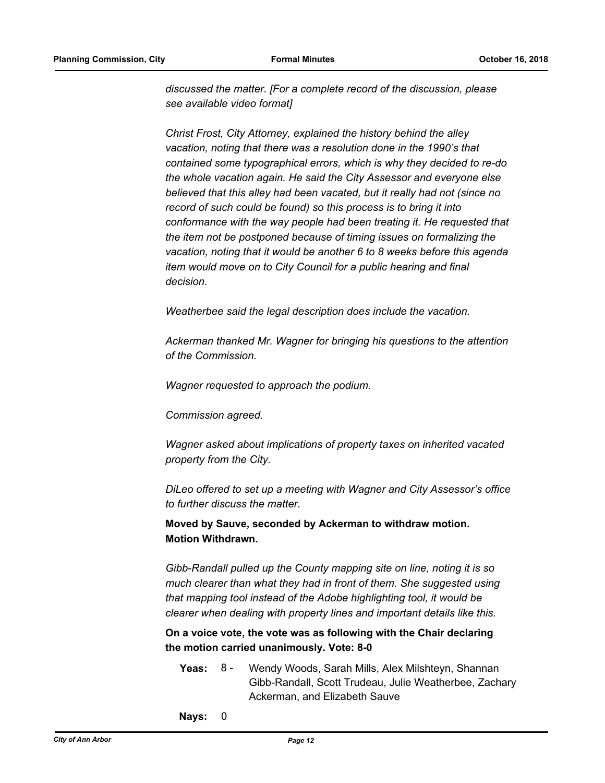*discussed the matter. [For a complete record of the discussion, please see available video format]* 

*Christ Frost, City Attorney, explained the history behind the alley vacation, noting that there was a resolution done in the 1990's that contained some typographical errors, which is why they decided to re-do the whole vacation again. He said the City Assessor and everyone else believed that this alley had been vacated, but it really had not (since no record of such could be found) so this process is to bring it into conformance with the way people had been treating it. He requested that the item not be postponed because of timing issues on formalizing the vacation, noting that it would be another 6 to 8 weeks before this agenda item would move on to City Council for a public hearing and final decision.*

*Weatherbee said the legal description does include the vacation.*

*Ackerman thanked Mr. Wagner for bringing his questions to the attention of the Commission.*

*Wagner requested to approach the podium.*

*Commission agreed.*

*Wagner asked about implications of property taxes on inherited vacated property from the City.*

*DiLeo offered to set up a meeting with Wagner and City Assessor's office to further discuss the matter.*

**Moved by Sauve, seconded by Ackerman to withdraw motion. Motion Withdrawn.**

*Gibb-Randall pulled up the County mapping site on line, noting it is so much clearer than what they had in front of them. She suggested using that mapping tool instead of the Adobe highlighting tool, it would be clearer when dealing with property lines and important details like this.*

**On a voice vote, the vote was as following with the Chair declaring the motion carried unanimously. Vote: 8-0**

- Yeas: 8 Wendy Woods, Sarah Mills, Alex Milshteyn, Shannan Gibb-Randall, Scott Trudeau, Julie Weatherbee, Zachary Ackerman, and Elizabeth Sauve 8 -
- **Nays:** 0